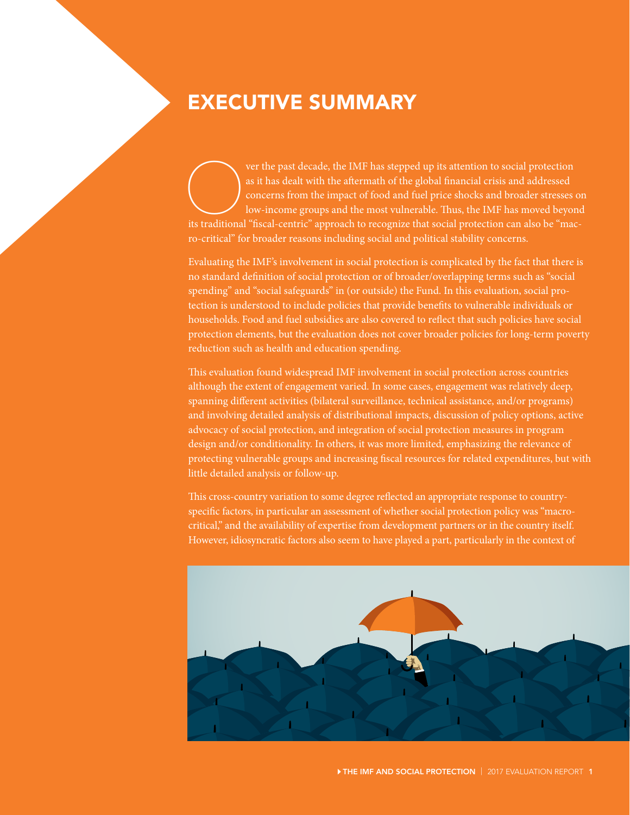## EXECUTIVE SUMMARY

ver the past decade, the IMF has stepped up its attention to social protection as it has dealt with the aftermath of the global financial crisis and addressed concerns from the impact of food and fuel price shocks and broa as it has dealt with the aftermath of the global financial crisis and addressed concerns from the impact of food and fuel price shocks and broader stresses on low-income groups and the most vulnerable. Thus, the IMF has moved beyond ro-critical" for broader reasons including social and political stability concerns.

Evaluating the IMF's involvement in social protection is complicated by the fact that there is no standard definition of social protection or of broader/overlapping terms such as "social spending" and "social safeguards" in (or outside) the Fund. In this evaluation, social protection is understood to include policies that provide benefits to vulnerable individuals or households. Food and fuel subsidies are also covered to reflect that such policies have social protection elements, but the evaluation does not cover broader policies for long-term poverty reduction such as health and education spending.

This evaluation found widespread IMF involvement in social protection across countries although the extent of engagement varied. In some cases, engagement was relatively deep, spanning different activities (bilateral surveillance, technical assistance, and/or programs) and involving detailed analysis of distributional impacts, discussion of policy options, active advocacy of social protection, and integration of social protection measures in program design and/or conditionality. In others, it was more limited, emphasizing the relevance of protecting vulnerable groups and increasing fiscal resources for related expenditures, but with little detailed analysis or follow-up.

This cross-country variation to some degree reflected an appropriate response to countryspecific factors, in particular an assessment of whether social protection policy was "macrocritical," and the availability of expertise from development partners or in the country itself. However, idiosyncratic factors also seem to have played a part, particularly in the context of